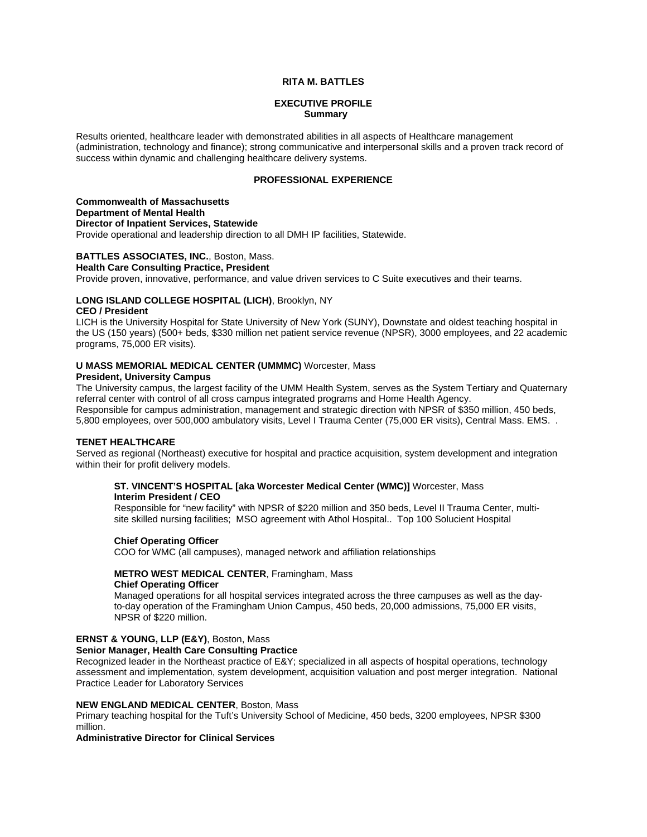## **RITA M. BATTLES**

### **EXECUTIVE PROFILE Summary**

Results oriented, healthcare leader with demonstrated abilities in all aspects of Healthcare management (administration, technology and finance); strong communicative and interpersonal skills and a proven track record of success within dynamic and challenging healthcare delivery systems.

## **PROFESSIONAL EXPERIENCE**

**Commonwealth of Massachusetts Department of Mental Health Director of Inpatient Services, Statewide**  Provide operational and leadership direction to all DMH IP facilities, Statewide.

## **BATTLES ASSOCIATES, INC.**, Boston, Mass.

#### **Health Care Consulting Practice, President**

Provide proven, innovative, performance, and value driven services to C Suite executives and their teams.

## **LONG ISLAND COLLEGE HOSPITAL (LICH)**, Brooklyn, NY

#### **CEO / President**

LICH is the University Hospital for State University of New York (SUNY), Downstate and oldest teaching hospital in the US (150 years) (500+ beds, \$330 million net patient service revenue (NPSR), 3000 employees, and 22 academic programs, 75,000 ER visits).

# **U MASS MEMORIAL MEDICAL CENTER (UMMMC)** Worcester, Mass

## **President, University Campus**

The University campus, the largest facility of the UMM Health System, serves as the System Tertiary and Quaternary referral center with control of all cross campus integrated programs and Home Health Agency. Responsible for campus administration, management and strategic direction with NPSR of \$350 million, 450 beds, 5,800 employees, over 500,000 ambulatory visits, Level I Trauma Center (75,000 ER visits), Central Mass. EMS. .

### **TENET HEALTHCARE**

Served as regional (Northeast) executive for hospital and practice acquisition, system development and integration within their for profit delivery models.

#### **ST. VINCENT'S HOSPITAL [aka Worcester Medical Center (WMC)]** Worcester, Mass **Interim President / CEO**

 Responsible for "new facility" with NPSR of \$220 million and 350 beds, Level II Trauma Center, multi site skilled nursing facilities; MSO agreement with Athol Hospital.. Top 100 Solucient Hospital

### **Chief Operating Officer**

COO for WMC (all campuses), managed network and affiliation relationships

### **METRO WEST MEDICAL CENTER**, Framingham, Mass  **Chief Operating Officer**

 Managed operations for all hospital services integrated across the three campuses as well as the day to-day operation of the Framingham Union Campus, 450 beds, 20,000 admissions, 75,000 ER visits, NPSR of \$220 million.

# **ERNST & YOUNG, LLP (E&Y)**, Boston, Mass

# **Senior Manager, Health Care Consulting Practice**

Recognized leader in the Northeast practice of E&Y; specialized in all aspects of hospital operations, technology assessment and implementation, system development, acquisition valuation and post merger integration. National Practice Leader for Laboratory Services

#### **NEW ENGLAND MEDICAL CENTER**, Boston, Mass

Primary teaching hospital for the Tuft's University School of Medicine, 450 beds, 3200 employees, NPSR \$300 million.

## **Administrative Director for Clinical Services**